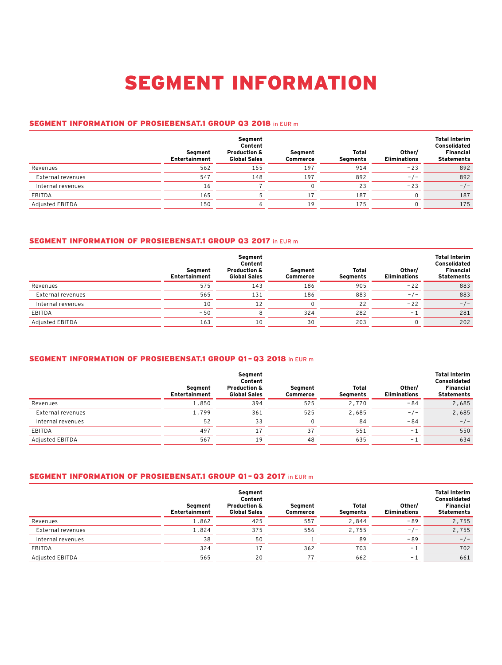# SEGMENT INFORMATION

#### SEGMENT INFORMATION OF PROSIEBENSAT.1 GROUP Q3 2018 in EUR m

|                   | Seament<br>Entertainment | Segment<br>Content<br><b>Production &amp;</b><br><b>Global Sales</b> | Seament<br>Commerce | Total<br>Segments | Other/<br><b>Eliminations</b> | <b>Total Interim</b><br><b>Consolidated</b><br><b>Financial</b><br><b>Statements</b> |
|-------------------|--------------------------|----------------------------------------------------------------------|---------------------|-------------------|-------------------------------|--------------------------------------------------------------------------------------|
| Revenues          | 562                      | 155                                                                  | 197                 | 914               | $-23$                         | 892                                                                                  |
| External revenues | 547                      | 148                                                                  | 197                 | 892               | $-/-$                         | 892                                                                                  |
| Internal revenues | 16                       |                                                                      |                     | 23                | $-23$                         | $-/-$                                                                                |
| EBITDA            | 165                      |                                                                      | 17                  | 187               | 0                             | 187                                                                                  |
| Adjusted EBITDA   | 150                      |                                                                      | 19                  | 175               | 0                             | 175                                                                                  |

## SEGMENT INFORMATION OF PROSIEBENSAT.1 GROUP Q3 2017 in EUR m

|                   | Segment<br>Entertainment | Segment<br>Content<br><b>Production &amp;</b><br><b>Global Sales</b> | Segment<br>Commerce | Total<br>Segments | Other/<br><b>Eliminations</b> | <b>Total Interim</b><br>Consolidated<br><b>Financial</b><br><b>Statements</b> |
|-------------------|--------------------------|----------------------------------------------------------------------|---------------------|-------------------|-------------------------------|-------------------------------------------------------------------------------|
| Revenues          | 575                      | 143                                                                  | 186                 | 905               | $-22$                         | 883                                                                           |
| External revenues | 565                      | 131                                                                  | 186                 | 883               | $-/-$                         | 883                                                                           |
| Internal revenues | 10                       | 12                                                                   |                     | 22                | $-22$                         | $-/-$                                                                         |
| EBITDA            | $-50$                    |                                                                      | 324                 | 282               | - 1                           | 281                                                                           |
| Adjusted EBITDA   | 163                      | 10                                                                   | 30                  | 203               |                               | 202                                                                           |

### SEGMENT INFORMATION OF PROSIEBENSAT.1 GROUP Q1 – Q3 2018 in EUR m

|                   | Seament<br>Entertainment | Segment<br>Content<br><b>Production &amp;</b><br><b>Global Sales</b> | Seament<br>Commerce | Total<br>Segments | Other/<br><b>Eliminations</b> | <b>Total Interim</b><br>Consolidated<br><b>Financial</b><br><b>Statements</b> |
|-------------------|--------------------------|----------------------------------------------------------------------|---------------------|-------------------|-------------------------------|-------------------------------------------------------------------------------|
| Revenues          | 1,850                    | 394                                                                  | 525                 | 2,770             | $-84$                         | 2,685                                                                         |
| External revenues | 1,799                    | 361                                                                  | 525                 | 2,685             | $-/-$                         | 2,685                                                                         |
| Internal revenues | 52                       | 33                                                                   |                     | 84                | $-84$                         | $-/-$                                                                         |
| EBITDA            | 497                      | 17                                                                   | 37                  | 551               | - 1                           | 550                                                                           |
| Adjusted EBITDA   | 567                      | 19                                                                   | 48                  | 635               | - 1                           | 634                                                                           |

#### SEGMENT INFORMATION OF PROSIEBENSAT.1 GROUP Q1 – Q3 2017 in EUR m

|                   | Seament<br>Entertainment | Segment<br>Content<br><b>Production &amp;</b><br><b>Global Sales</b> | Seament<br>Commerce | Total<br>Seaments | Other/<br><b>Eliminations</b> | <b>Total Interim</b><br>Consolidated<br><b>Financial</b><br><b>Statements</b> |
|-------------------|--------------------------|----------------------------------------------------------------------|---------------------|-------------------|-------------------------------|-------------------------------------------------------------------------------|
| Revenues          | 1,862                    | 425                                                                  | 557                 | 2.844             | $-89$                         | 2,755                                                                         |
| External revenues | 1.824                    | 375                                                                  | 556                 | 2.755             | $-/-$                         | 2,755                                                                         |
| Internal revenues | 38                       | 50                                                                   |                     | 89                | $-89$                         | $-/-$                                                                         |
| EBITDA            | 324                      | 17                                                                   | 362                 | 703               | н.,                           | 702                                                                           |
| Adjusted EBITDA   | 565                      | 20                                                                   |                     | 662               | $ -$                          | 661                                                                           |